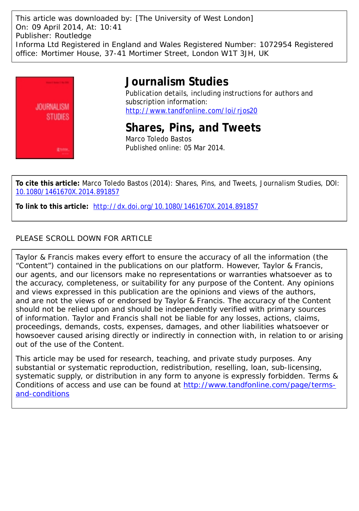This article was downloaded by: [The University of West London] On: 09 April 2014, At: 10:41 Publisher: Routledge Informa Ltd Registered in England and Wales Registered Number: 1072954 Registered office: Mortimer House, 37-41 Mortimer Street, London W1T 3JH, UK



# **Journalism Studies**

Publication details, including instructions for authors and subscription information: <http://www.tandfonline.com/loi/rjos20>

**Shares, Pins, and Tweets** Marco Toledo Bastos Published online: 05 Mar 2014.

**To cite this article:** Marco Toledo Bastos (2014): Shares, Pins, and Tweets, Journalism Studies, DOI: [10.1080/1461670X.2014.891857](http://www.tandfonline.com/action/showCitFormats?doi=10.1080/1461670X.2014.891857)

**To link to this article:** <http://dx.doi.org/10.1080/1461670X.2014.891857>

# PLEASE SCROLL DOWN FOR ARTICLE

Taylor & Francis makes every effort to ensure the accuracy of all the information (the "Content") contained in the publications on our platform. However, Taylor & Francis, our agents, and our licensors make no representations or warranties whatsoever as to the accuracy, completeness, or suitability for any purpose of the Content. Any opinions and views expressed in this publication are the opinions and views of the authors, and are not the views of or endorsed by Taylor & Francis. The accuracy of the Content should not be relied upon and should be independently verified with primary sources of information. Taylor and Francis shall not be liable for any losses, actions, claims, proceedings, demands, costs, expenses, damages, and other liabilities whatsoever or howsoever caused arising directly or indirectly in connection with, in relation to or arising out of the use of the Content.

This article may be used for research, teaching, and private study purposes. Any substantial or systematic reproduction, redistribution, reselling, loan, sub-licensing, systematic supply, or distribution in any form to anyone is expressly forbidden. Terms & Conditions of access and use can be found at [http://www.tandfonline.com/page/terms](http://www.tandfonline.com/page/terms-and-conditions)[and-conditions](http://www.tandfonline.com/page/terms-and-conditions)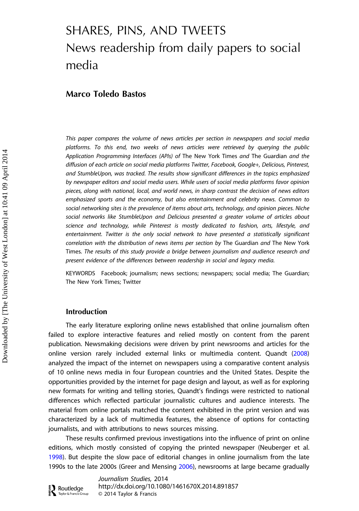# SHARES, PINS, AND TWEETS News readership from daily papers to social media

## Marco Toledo Bastos

This paper compares the volume of news articles per section in newspapers and social media platforms. To this end, two weeks of news articles were retrieved by querying the public Application Programming Interfaces (APIs) of The New York Times and The Guardian and the diffusion of each article on social media platforms Twitter, Facebook, Google+, Delicious, Pinterest, and StumbleUpon, was tracked. The results show significant differences in the topics emphasized by newspaper editors and social media users. While users of social media platforms favor opinion pieces, along with national, local, and world news, in sharp contrast the decision of news editors emphasized sports and the economy, but also entertainment and celebrity news. Common to social networking sites is the prevalence of items about arts, technology, and opinion pieces. Niche social networks like StumbleUpon and Delicious presented a greater volume of articles about science and technology, while Pinterest is mostly dedicated to fashion, arts, lifestyle, and entertainment. Twitter is the only social network to have presented a statistically significant correlation with the distribution of news items per section by The Guardian and The New York Times. The results of this study provide a bridge between journalism and audience research and present evidence of the differences between readership in social and legacy media.

KEYWORDS Facebook; journalism; news sections; newspapers; social media; The Guardian; The New York Times; Twitter

## Introduction

 $\sum_{\text{Taylor & Francis Gr}}$ 

The early literature exploring online news established that online journalism often failed to explore interactive features and relied mostly on content from the parent publication. Newsmaking decisions were driven by print newsrooms and articles for the online version rarely included external links or multimedia content. Quandt [\(2008\)](#page-21-0) analyzed the impact of the internet on newspapers using a comparative content analysis of 10 online news media in four European countries and the United States. Despite the opportunities provided by the internet for page design and layout, as well as for exploring new formats for writing and telling stories, Quandt's findings were restricted to national differences which reflected particular journalistic cultures and audience interests. The material from online portals matched the content exhibited in the print version and was characterized by a lack of multimedia features, the absence of options for contacting journalists, and with attributions to news sources missing.

These results confirmed previous investigations into the influence of print on online editions, which mostly consisted of copying the printed newspaper (Neuberger et al. [1998\)](#page-21-0). But despite the slow pace of editorial changes in online journalism from the late 1990s to the late 2000s (Greer and Mensing [2006\)](#page-20-0), newsrooms at large became gradually

Journalism Studies, 2014 <http://dx.doi.org/10.1080/1461670X.2014.891857> Taylor & Francis Group © 2014 Taylor & Francis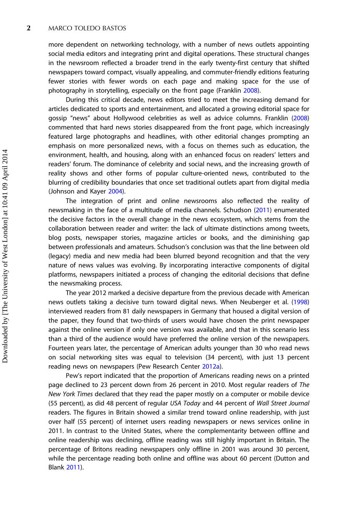more dependent on networking technology, with a number of news outlets appointing social media editors and integrating print and digital operations. These structural changes in the newsroom reflected a broader trend in the early twenty-first century that shifted newspapers toward compact, visually appealing, and commuter-friendly editions featuring fewer stories with fewer words on each page and making space for the use of photography in storytelling, especially on the front page (Franklin [2008\)](#page-20-0).

During this critical decade, news editors tried to meet the increasing demand for articles dedicated to sports and entertainment, and allocated a growing editorial space for gossip "news" about Hollywood celebrities as well as advice columns. Franklin [\(2008\)](#page-20-0) commented that hard news stories disappeared from the front page, which increasingly featured large photographs and headlines, with other editorial changes prompting an emphasis on more personalized news, with a focus on themes such as education, the environment, health, and housing, along with an enhanced focus on readers' letters and readers' forum. The dominance of celebrity and social news, and the increasing growth of reality shows and other forms of popular culture-oriented news, contributed to the blurring of credibility boundaries that once set traditional outlets apart from digital media (Johnson and Kayer [2004](#page-20-0)).

The integration of print and online newsrooms also reflected the reality of newsmaking in the face of a multitude of media channels. Schudson ([2011\)](#page-21-0) enumerated the decisive factors in the overall change in the news ecosystem, which stems from the collaboration between reader and writer: the lack of ultimate distinctions among tweets, blog posts, newspaper stories, magazine articles or books, and the diminishing gap between professionals and amateurs. Schudson's conclusion was that the line between old (legacy) media and new media had been blurred beyond recognition and that the very nature of news values was evolving. By incorporating interactive components of digital platforms, newspapers initiated a process of changing the editorial decisions that define the newsmaking process.

The year 2012 marked a decisive departure from the previous decade with American news outlets taking a decisive turn toward digital news. When Neuberger et al. [\(1998\)](#page-21-0) interviewed readers from 81 daily newspapers in Germany that housed a digital version of the paper, they found that two-thirds of users would have chosen the print newspaper against the online version if only one version was available, and that in this scenario less than a third of the audience would have preferred the online version of the newspapers. Fourteen years later, the percentage of American adults younger than 30 who read news on social networking sites was equal to television (34 percent), with just 13 percent reading news on newspapers (Pew Research Center [2012a\)](#page-21-0).

Pew's report indicated that the proportion of Americans reading news on a printed page declined to 23 percent down from 26 percent in 2010. Most regular readers of The New York Times declared that they read the paper mostly on a computer or mobile device (55 percent), as did 48 percent of regular USA Today and 44 percent of Wall Street Journal readers. The figures in Britain showed a similar trend toward online readership, with just over half (55 percent) of internet users reading newspapers or news services online in 2011. In contrast to the United States, where the complementarity between offline and online readership was declining, offline reading was still highly important in Britain. The percentage of Britons reading newspapers only offline in 2001 was around 30 percent, while the percentage reading both online and offline was about 60 percent (Dutton and Blank [2011\)](#page-20-0).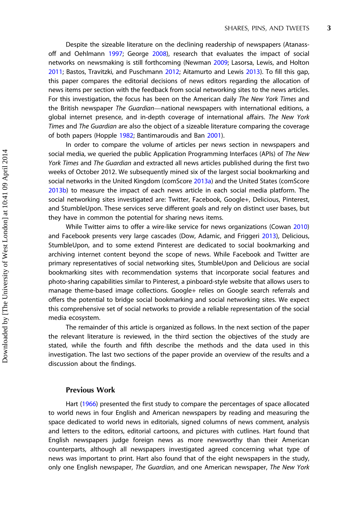Despite the sizeable literature on the declining readership of newspapers (Atanassoff and Oehlmann [1997](#page-19-0); George [2008\)](#page-20-0), research that evaluates the impact of social networks on newsmaking is still forthcoming (Newman [2009;](#page-21-0) Lasorsa, Lewis, and Holton [2011;](#page-20-0) Bastos, Travitzki, and Puschmann [2012](#page-19-0); Aitamurto and Lewis [2013\)](#page-19-0). To fill this gap, this paper compares the editorial decisions of news editors regarding the allocation of news items per section with the feedback from social networking sites to the news articles. For this investigation, the focus has been on the American daily The New York Times and the British newspaper The Guardian—national newspapers with international editions, a global internet presence, and in-depth coverage of international affairs. The New York Times and The Guardian are also the object of a sizeable literature comparing the coverage of both papers (Hopple [1982](#page-20-0); Bantimaroudis and Ban [2001](#page-19-0)).

In order to compare the volume of articles per news section in newspapers and social media, we queried the public Application Programming Interfaces (APIs) of The New York Times and The Guardian and extracted all news articles published during the first two weeks of October 2012. We subsequently mined six of the largest social bookmarking and social networks in the United Kingdom (comScore [2013a](#page-19-0)) and the United States (comScore [2013b](#page-19-0)) to measure the impact of each news article in each social media platform. The social networking sites investigated are: Twitter, Facebook, Google+, Delicious, Pinterest, and StumbleUpon. These services serve different goals and rely on distinct user bases, but they have in common the potential for sharing news items.

While Twitter aims to offer a wire-like service for news organizations (Cowan [2010\)](#page-19-0) and Facebook presents very large cascades (Dow, Adamic, and Friggeri [2013\)](#page-20-0), Delicious, StumbleUpon, and to some extend Pinterest are dedicated to social bookmarking and archiving internet content beyond the scope of news. While Facebook and Twitter are primary representatives of social networking sites, StumbleUpon and Delicious are social bookmarking sites with recommendation systems that incorporate social features and photo-sharing capabilities similar to Pinterest, a pinboard-style website that allows users to manage theme-based image collections. Google+ relies on Google search referrals and offers the potential to bridge social bookmarking and social networking sites. We expect this comprehensive set of social networks to provide a reliable representation of the social media ecosystem.

The remainder of this article is organized as follows. In the next section of the paper the relevant literature is reviewed, in the third section the objectives of the study are stated, while the fourth and fifth describe the methods and the data used in this investigation. The last two sections of the paper provide an overview of the results and a discussion about the findings.

#### Previous Work

Hart ([1966\)](#page-20-0) presented the first study to compare the percentages of space allocated to world news in four English and American newspapers by reading and measuring the space dedicated to world news in editorials, signed columns of news comment, analysis and letters to the editors, editorial cartoons, and pictures with cutlines. Hart found that English newspapers judge foreign news as more newsworthy than their American counterparts, although all newspapers investigated agreed concerning what type of news was important to print. Hart also found that of the eight newspapers in the study, only one English newspaper, The Guardian, and one American newspaper, The New York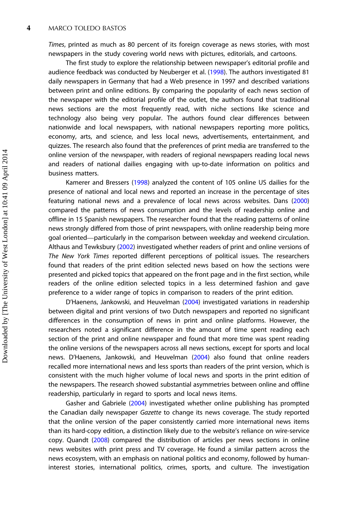Times, printed as much as 80 percent of its foreign coverage as news stories, with most newspapers in the study covering world news with pictures, editorials, and cartoons.

The first study to explore the relationship between newspaper's editorial profile and audience feedback was conducted by Neuberger et al. [\(1998\)](#page-21-0). The authors investigated 81 daily newspapers in Germany that had a Web presence in 1997 and described variations between print and online editions. By comparing the popularity of each news section of the newspaper with the editorial profile of the outlet, the authors found that traditional news sections are the most frequently read, with niche sections like science and technology also being very popular. The authors found clear differences between nationwide and local newspapers, with national newspapers reporting more politics, economy, arts, and science, and less local news, advertisements, entertainment, and quizzes. The research also found that the preferences of print media are transferred to the online version of the newspaper, with readers of regional newspapers reading local news and readers of national dailies engaging with up-to-date information on politics and business matters.

Kamerer and Bressers ([1998\)](#page-20-0) analyzed the content of 105 online US dailies for the presence of national and local news and reported an increase in the percentage of sites featuring national news and a prevalence of local news across websites. Dans [\(2000\)](#page-19-0) compared the patterns of news consumption and the levels of readership online and offline in 15 Spanish newspapers. The researcher found that the reading patterns of online news strongly differed from those of print newspapers, with online readership being more goal oriented—particularly in the comparison between weekday and weekend circulation. Althaus and Tewksbury ([2002](#page-19-0)) investigated whether readers of print and online versions of The New York Times reported different perceptions of political issues. The researchers found that readers of the print edition selected news based on how the sections were presented and picked topics that appeared on the front page and in the first section, while readers of the online edition selected topics in a less determined fashion and gave preference to a wider range of topics in comparison to readers of the print edition.

D'Haenens, Jankowski, and Heuvelman [\(2004\)](#page-19-0) investigated variations in readership between digital and print versions of two Dutch newspapers and reported no significant differences in the consumption of news in print and online platforms. However, the researchers noted a significant difference in the amount of time spent reading each section of the print and online newspaper and found that more time was spent reading the online versions of the newspapers across all news sections, except for sports and local news. D'Haenens, Jankowski, and Heuvelman [\(2004\)](#page-19-0) also found that online readers recalled more international news and less sports than readers of the print version, which is consistent with the much higher volume of local news and sports in the print edition of the newspapers. The research showed substantial asymmetries between online and offline readership, particularly in regard to sports and local news items.

Gasher and Gabriele ([2004](#page-20-0)) investigated whether online publishing has prompted the Canadian daily newspaper Gazette to change its news coverage. The study reported that the online version of the paper consistently carried more international news items than its hard-copy edition, a distinction likely due to the website's reliance on wire-service copy. Quandt ([2008\)](#page-21-0) compared the distribution of articles per news sections in online news websites with print press and TV coverage. He found a similar pattern across the news ecosystem, with an emphasis on national politics and economy, followed by humaninterest stories, international politics, crimes, sports, and culture. The investigation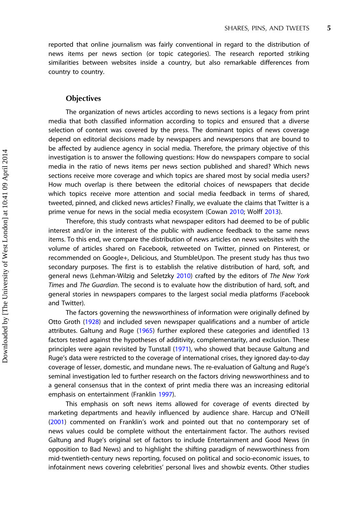reported that online journalism was fairly conventional in regard to the distribution of news items per news section (or topic categories). The research reported striking similarities between websites inside a country, but also remarkable differences from country to country.

### **Objectives**

The organization of news articles according to news sections is a legacy from print media that both classified information according to topics and ensured that a diverse selection of content was covered by the press. The dominant topics of news coverage depend on editorial decisions made by newspapers and newspersons that are bound to be affected by audience agency in social media. Therefore, the primary objective of this investigation is to answer the following questions: How do newspapers compare to social media in the ratio of news items per news section published and shared? Which news sections receive more coverage and which topics are shared most by social media users? How much overlap is there between the editorial choices of newspapers that decide which topics receive more attention and social media feedback in terms of shared, tweeted, pinned, and clicked news articles? Finally, we evaluate the claims that Twitter is a prime venue for news in the social media ecosystem (Cowan [2010](#page-19-0); Wolff [2013](#page-21-0)).

Therefore, this study contrasts what newspaper editors had deemed to be of public interest and/or in the interest of the public with audience feedback to the same news items. To this end, we compare the distribution of news articles on news websites with the volume of articles shared on Facebook, retweeted on Twitter, pinned on Pinterest, or recommended on Google+, Delicious, and StumbleUpon. The present study has thus two secondary purposes. The first is to establish the relative distribution of hard, soft, and general news (Lehman-Wilzig and Seletzky [2010](#page-21-0)) crafted by the editors of The New York Times and The Guardian. The second is to evaluate how the distribution of hard, soft, and general stories in newspapers compares to the largest social media platforms (Facebook and Twitter).

The factors governing the newsworthiness of information were originally defined by Otto Groth ([1928](#page-20-0)) and included seven newspaper qualifications and a number of article attributes. Galtung and Ruge ([1965\)](#page-20-0) further explored these categories and identified 13 factors tested against the hypotheses of additivity, complementarity, and exclusion. These principles were again revisited by Tunstall [\(1971\)](#page-21-0), who showed that because Galtung and Ruge's data were restricted to the coverage of international crises, they ignored day-to-day coverage of lesser, domestic, and mundane news. The re-evaluation of Galtung and Ruge's seminal investigation led to further research on the factors driving newsworthiness and to a general consensus that in the context of print media there was an increasing editorial emphasis on entertainment (Franklin [1997\)](#page-20-0).

This emphasis on soft news items allowed for coverage of events directed by marketing departments and heavily influenced by audience share. Harcup and O'Neill [\(2001\)](#page-20-0) commented on Franklin's work and pointed out that no contemporary set of news values could be complete without the entertainment factor. The authors revised Galtung and Ruge's original set of factors to include Entertainment and Good News (in opposition to Bad News) and to highlight the shifting paradigm of newsworthiness from mid-twentieth-century news reporting, focused on political and socio-economic issues, to infotainment news covering celebrities' personal lives and showbiz events. Other studies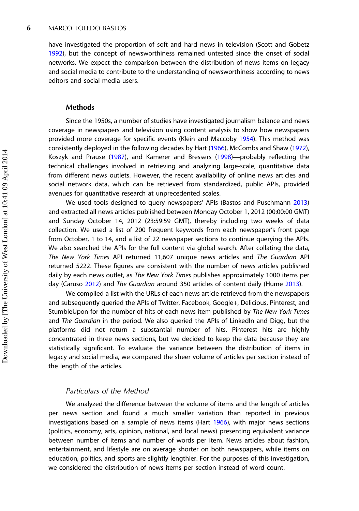have investigated the proportion of soft and hard news in television (Scott and Gobetz [1992\)](#page-21-0), but the concept of newsworthiness remained untested since the onset of social networks. We expect the comparison between the distribution of news items on legacy and social media to contribute to the understanding of newsworthiness according to news editors and social media users.

## Methods

Since the 1950s, a number of studies have investigated journalism balance and news coverage in newspapers and television using content analysis to show how newspapers provided more coverage for specific events (Klein and Maccoby [1954](#page-20-0)). This method was consistently deployed in the following decades by Hart [\(1966\)](#page-20-0), McCombs and Shaw [\(1972\)](#page-21-0), Koszyk and Prause [\(1987](#page-20-0)), and Kamerer and Bressers [\(1998\)](#page-20-0)—probably reflecting the technical challenges involved in retrieving and analyzing large-scale, quantitative data from different news outlets. However, the recent availability of online news articles and social network data, which can be retrieved from standardized, public APIs, provided avenues for quantitative research at unprecedented scales.

We used tools designed to query newspapers' APIs (Bastos and Puschmann [2013\)](#page-19-0) and extracted all news articles published between Monday October 1, 2012 (00:00:00 GMT) and Sunday October 14, 2012 (23:59:59 GMT), thereby including two weeks of data collection. We used a list of 200 frequent keywords from each newspaper's front page from October, 1 to 14, and a list of 22 newspaper sections to continue querying the APIs. We also searched the APIs for the full content via global search. After collating the data, The New York Times API returned 11,607 unique news articles and The Guardian API returned 5222. These figures are consistent with the number of news articles published daily by each news outlet, as The New York Times publishes approximately 1000 items per day (Caruso [2012](#page-19-0)) and The Guardian around 350 articles of content daily (Hume [2013](#page-20-0)).

We compiled a list with the URLs of each news article retrieved from the newspapers and subsequently queried the APIs of Twitter, Facebook, Google+, Delicious, Pinterest, and StumbleUpon for the number of hits of each news item published by The New York Times and The Guardian in the period. We also queried the APIs of LinkedIn and Digg, but the platforms did not return a substantial number of hits. Pinterest hits are highly concentrated in three news sections, but we decided to keep the data because they are statistically significant. To evaluate the variance between the distribution of items in legacy and social media, we compared the sheer volume of articles per section instead of the length of the articles.

## Particulars of the Method

We analyzed the difference between the volume of items and the length of articles per news section and found a much smaller variation than reported in previous investigations based on a sample of news items (Hart [1966](#page-20-0)), with major news sections (politics, economy, arts, opinion, national, and local news) presenting equivalent variance between number of items and number of words per item. News articles about fashion, entertainment, and lifestyle are on average shorter on both newspapers, while items on education, politics, and sports are slightly lengthier. For the purposes of this investigation, we considered the distribution of news items per section instead of word count.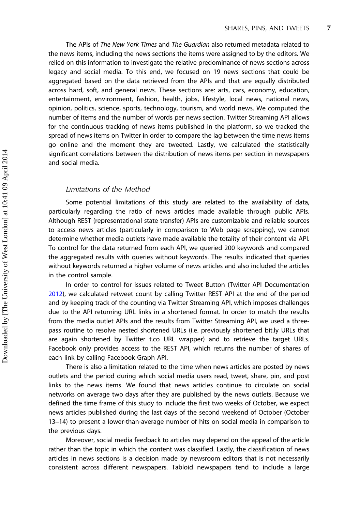The APIs of The New York Times and The Guardian also returned metadata related to the news items, including the news sections the items were assigned to by the editors. We relied on this information to investigate the relative predominance of news sections across legacy and social media. To this end, we focused on 19 news sections that could be aggregated based on the data retrieved from the APIs and that are equally distributed across hard, soft, and general news. These sections are: arts, cars, economy, education, entertainment, environment, fashion, health, jobs, lifestyle, local news, national news, opinion, politics, science, sports, technology, tourism, and world news. We computed the number of items and the number of words per news section. Twitter Streaming API allows for the continuous tracking of news items published in the platform, so we tracked the spread of news items on Twitter in order to compare the lag between the time news items go online and the moment they are tweeted. Lastly, we calculated the statistically significant correlations between the distribution of news items per section in newspapers and social media.

## Limitations of the Method

Some potential limitations of this study are related to the availability of data, particularly regarding the ratio of news articles made available through public APIs. Although REST (representational state transfer) APIs are customizable and reliable sources to access news articles (particularly in comparison to Web page scrapping), we cannot determine whether media outlets have made available the totality of their content via API. To control for the data returned from each API, we queried 200 keywords and compared the aggregated results with queries without keywords. The results indicated that queries without keywords returned a higher volume of news articles and also included the articles in the control sample.

In order to control for issues related to Tweet Button (Twitter API Documentation [2012\)](#page-21-0), we calculated retweet count by calling Twitter REST API at the end of the period and by keeping track of the counting via Twitter Streaming API, which imposes challenges due to the API returning URL links in a shortened format. In order to match the results from the media outlet APIs and the results from Twitter Streaming API, we used a threepass routine to resolve nested shortened URLs (i.e. previously shortened bit.ly URLs that are again shortened by Twitter t.co URL wrapper) and to retrieve the target URLs. Facebook only provides access to the REST API, which returns the number of shares of each link by calling Facebook Graph API.

There is also a limitation related to the time when news articles are posted by news outlets and the period during which social media users read, tweet, share, pin, and post links to the news items. We found that news articles continue to circulate on social networks on average two days after they are published by the news outlets. Because we defined the time frame of this study to include the first two weeks of October, we expect news articles published during the last days of the second weekend of October (October 13–14) to present a lower-than-average number of hits on social media in comparison to the previous days.

Moreover, social media feedback to articles may depend on the appeal of the article rather than the topic in which the content was classified. Lastly, the classification of news articles in news sections is a decision made by newsroom editors that is not necessarily consistent across different newspapers. Tabloid newspapers tend to include a large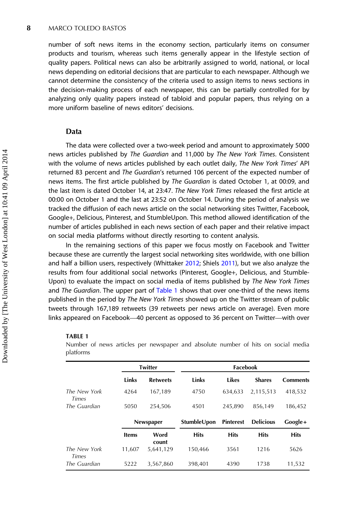<span id="page-8-0"></span>number of soft news items in the economy section, particularly items on consumer products and tourism, whereas such items generally appear in the lifestyle section of quality papers. Political news can also be arbitrarily assigned to world, national, or local news depending on editorial decisions that are particular to each newspaper. Although we cannot determine the consistency of the criteria used to assign items to news sections in the decision-making process of each newspaper, this can be partially controlled for by analyzing only quality papers instead of tabloid and popular papers, thus relying on a more uniform baseline of news editors' decisions.

## Data

The data were collected over a two-week period and amount to approximately 5000 news articles published by The Guardian and 11,000 by The New York Times. Consistent with the volume of news articles published by each outlet daily, The New York Times' API returned 83 percent and The Guardian's returned 106 percent of the expected number of news items. The first article published by The Guardian is dated October 1, at 00:09, and the last item is dated October 14, at 23:47. The New York Times released the first article at 00:00 on October 1 and the last at 23:52 on October 14. During the period of analysis we tracked the diffusion of each news article on the social networking sites Twitter, Facebook, Google+, Delicious, Pinterest, and StumbleUpon. This method allowed identification of the number of articles published in each news section of each paper and their relative impact on social media platforms without directly resorting to content analysis.

In the remaining sections of this paper we focus mostly on Facebook and Twitter because these are currently the largest social networking sites worldwide, with one billion and half a billion users, respectively (Whittaker [2012](#page-21-0); Shiels [2011](#page-21-0)), but we also analyze the results from four additional social networks (Pinterest, Google+, Delicious, and Stumble-Upon) to evaluate the impact on social media of items published by The New York Times and The Guardian. The upper part of Table 1 shows that over one-third of the news items published in the period by The New York Times showed up on the Twitter stream of public tweets through 167,189 retweets (39 retweets per news article on average). Even more links appeared on Facebook—40 percent as opposed to 36 percent on Twitter—with over

#### TABLE 1

Number of news articles per newspaper and absolute number of hits on social media platforms

|                              | <b>Twitter</b> |                 | Facebook    |                  |                  |                 |  |
|------------------------------|----------------|-----------------|-------------|------------------|------------------|-----------------|--|
|                              | Links          | <b>Retweets</b> | Links       | Likes            | <b>Shares</b>    | <b>Comments</b> |  |
| The New York<br><b>Times</b> | 4264           | 167,189         | 4750        | 634.633          | 2,115,513        | 418,532         |  |
| The Guardian                 | 5050           | 254,506         | 4501        | 245,890          | 856,149          | 186,452         |  |
|                              | Newspaper      |                 | Stumble∪pon | <b>Pinterest</b> | <b>Delicious</b> | Google+         |  |
|                              | <b>Items</b>   | Word<br>count   | <b>Hits</b> | <b>Hits</b>      | <b>Hits</b>      | <b>Hits</b>     |  |
| The New York<br><b>Times</b> | 11.607         | 5,641,129       | 150,466     | 3561             | 1216             | 5626            |  |
| The Guardian                 | 5222           | 3,567,860       | 398,401     | 4390             | 1738             | 11,532          |  |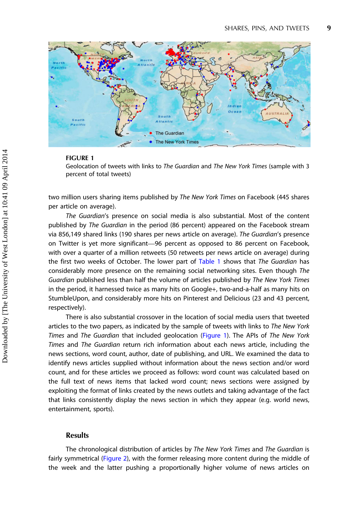

#### FIGURE 1

Geolocation of tweets with links to The Guardian and The New York Times (sample with 3 percent of total tweets)

two million users sharing items published by The New York Times on Facebook (445 shares per article on average).

The Guardian's presence on social media is also substantial. Most of the content published by The Guardian in the period (86 percent) appeared on the Facebook stream via 856,149 shared links (190 shares per news article on average). The Guardian's presence on Twitter is yet more significant—96 percent as opposed to 86 percent on Facebook, with over a quarter of a million retweets (50 retweets per news article on average) during the first two weeks of October. The lower part of [Table 1](#page-8-0) shows that The Guardian has considerably more presence on the remaining social networking sites. Even though The Guardian published less than half the volume of articles published by The New York Times in the period, it harnessed twice as many hits on Google+, two-and-a-half as many hits on StumbleUpon, and considerably more hits on Pinterest and Delicious (23 and 43 percent, respectively).

There is also substantial crossover in the location of social media users that tweeted articles to the two papers, as indicated by the sample of tweets with links to The New York Times and The Guardian that included geolocation (Figure 1). The APIs of The New York Times and The Guardian return rich information about each news article, including the news sections, word count, author, date of publishing, and URL. We examined the data to identify news articles supplied without information about the news section and/or word count, and for these articles we proceed as follows: word count was calculated based on the full text of news items that lacked word count; news sections were assigned by exploiting the format of links created by the news outlets and taking advantage of the fact that links consistently display the news section in which they appear (e.g. world news, entertainment, sports).

## **Results**

The chronological distribution of articles by The New York Times and The Guardian is fairly symmetrical ([Figure 2](#page-10-0)), with the former releasing more content during the middle of the week and the latter pushing a proportionally higher volume of news articles on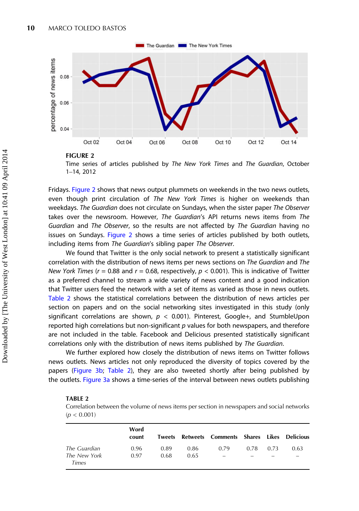<span id="page-10-0"></span>

FIGURE 2

Time series of articles published by The New York Times and The Guardian, October 1–14, 2012

Fridays. Figure 2 shows that news output plummets on weekends in the two news outlets, even though print circulation of The New York Times is higher on weekends than weekdays. The Guardian does not circulate on Sundays, when the sister paper The Observer takes over the newsroom. However, The Guardian's API returns news items from The Guardian and The Observer, so the results are not affected by The Guardian having no issues on Sundays. Figure 2 shows a time series of articles published by both outlets, including items from The Guardian's sibling paper The Observer.

We found that Twitter is the only social network to present a statistically significant correlation with the distribution of news items per news sections on The Guardian and The New York Times ( $r = 0.88$  and  $r = 0.68$ , respectively,  $p < 0.001$ ). This is indicative of Twitter as a preferred channel to stream a wide variety of news content and a good indication that Twitter users feed the network with a set of items as varied as those in news outlets. Table 2 shows the statistical correlations between the distribution of news articles per section on papers and on the social networking sites investigated in this study (only significant correlations are shown,  $p < 0.001$ ). Pinterest, Google+, and StumbleUpon reported high correlations but non-significant  $p$  values for both newspapers, and therefore are not included in the table. Facebook and Delicious presented statistically significant correlations only with the distribution of news items published by The Guardian.

We further explored how closely the distribution of news items on Twitter follows news outlets. News articles not only reproduced the diversity of topics covered by the papers [\(Figure 3b](#page-11-0); Table 2), they are also tweeted shortly after being published by the outlets. [Figure 3a](#page-11-0) shows a time-series of the interval between news outlets publishing

#### TABLE 2

Correlation between the volume of news items per section in newspapers and social networks  $(p < 0.001)$ 

|                       | Word<br>count |      |      | Tweets Retweets Comments Shares Likes Delicious |      |      |      |
|-----------------------|---------------|------|------|-------------------------------------------------|------|------|------|
| The Guardian          | 0.96          | 0.89 | 0.86 | 0.79                                            | 0.78 | 0.73 | 0.63 |
| The New York<br>Times | 0.97          | 0.68 | 0.65 |                                                 |      |      |      |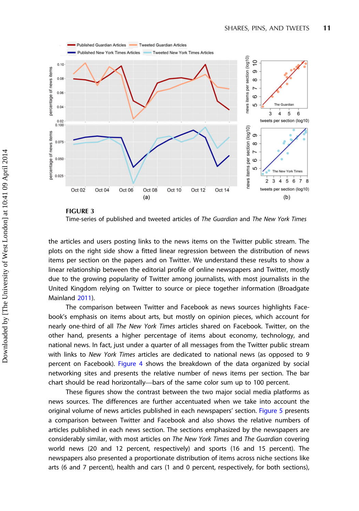<span id="page-11-0"></span>

Time-series of published and tweeted articles of The Guardian and The New York Times

the articles and users posting links to the news items on the Twitter public stream. The plots on the right side show a fitted linear regression between the distribution of news items per section on the papers and on Twitter. We understand these results to show a linear relationship between the editorial profile of online newspapers and Twitter, mostly due to the growing popularity of Twitter among journalists, with most journalists in the United Kingdom relying on Twitter to source or piece together information (Broadgate Mainland [2011\)](#page-19-0).

The comparison between Twitter and Facebook as news sources highlights Facebook's emphasis on items about arts, but mostly on opinion pieces, which account for nearly one-third of all The New York Times articles shared on Facebook. Twitter, on the other hand, presents a higher percentage of items about economy, technology, and national news. In fact, just under a quarter of all messages from the Twitter public stream with links to New York Times articles are dedicated to national news (as opposed to 9 percent on Facebook). [Figure 4](#page-12-0) shows the breakdown of the data organized by social networking sites and presents the relative number of news items per section. The bar chart should be read horizontally—bars of the same color sum up to 100 percent.

These figures show the contrast between the two major social media platforms as news sources. The differences are further accentuated when we take into account the original volume of news articles published in each newspapers' section. [Figure 5](#page-13-0) presents a comparison between Twitter and Facebook and also shows the relative numbers of articles published in each news section. The sections emphasized by the newspapers are considerably similar, with most articles on The New York Times and The Guardian covering world news (20 and 12 percent, respectively) and sports (16 and 15 percent). The newspapers also presented a proportionate distribution of items across niche sections like arts (6 and 7 percent), health and cars (1 and 0 percent, respectively, for both sections),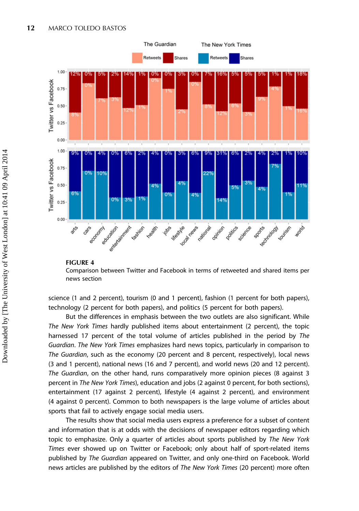<span id="page-12-0"></span>

## FIGURE 4

Comparison between Twitter and Facebook in terms of retweeted and shared items per news section

science (1 and 2 percent), tourism (0 and 1 percent), fashion (1 percent for both papers), technology (2 percent for both papers), and politics (5 percent for both papers).

But the differences in emphasis between the two outlets are also significant. While The New York Times hardly published items about entertainment (2 percent), the topic harnessed 17 percent of the total volume of articles published in the period by The Guardian. The New York Times emphasizes hard news topics, particularly in comparison to The Guardian, such as the economy (20 percent and 8 percent, respectively), local news (3 and 1 percent), national news (16 and 7 percent), and world news (20 and 12 percent). The Guardian, on the other hand, runs comparatively more opinion pieces (8 against 3 percent in The New York Times), education and jobs (2 against 0 percent, for both sections), entertainment (17 against 2 percent), lifestyle (4 against 2 percent), and environment (4 against 0 percent). Common to both newspapers is the large volume of articles about sports that fail to actively engage social media users.

The results show that social media users express a preference for a subset of content and information that is at odds with the decisions of newspaper editors regarding which topic to emphasize. Only a quarter of articles about sports published by The New York Times ever showed up on Twitter or Facebook; only about half of sport-related items published by The Guardian appeared on Twitter, and only one-third on Facebook. World news articles are published by the editors of The New York Times (20 percent) more often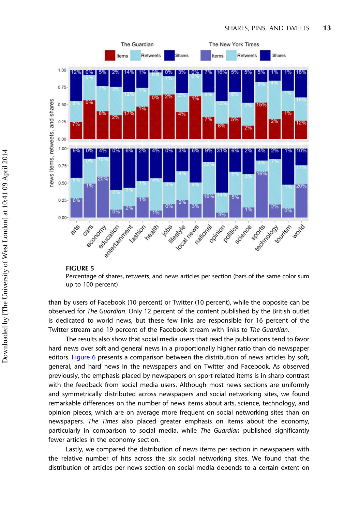<span id="page-13-0"></span>

#### FIGURE 5

Percentage of shares, retweets, and news articles per section (bars of the same color sum up to 100 percent)

than by users of Facebook (10 percent) or Twitter (10 percent), while the opposite can be observed for The Guardian. Only 12 percent of the content published by the British outlet is dedicated to world news, but these few links are responsible for 16 percent of the Twitter stream and 19 percent of the Facebook stream with links to The Guardian.

The results also show that social media users that read the publications tend to favor hard news over soft and general news in a proportionally higher ratio than do newspaper editors. [Figure 6](#page-14-0) presents a comparison between the distribution of news articles by soft, general, and hard news in the newspapers and on Twitter and Facebook. As observed previously, the emphasis placed by newspapers on sport-related items is in sharp contrast with the feedback from social media users. Although most news sections are uniformly and symmetrically distributed across newspapers and social networking sites, we found remarkable differences on the number of news items about arts, science, technology, and opinion pieces, which are on average more frequent on social networking sites than on newspapers. The Times also placed greater emphasis on items about the economy, particularly in comparison to social media, while The Guardian published significantly fewer articles in the economy section.

Lastly, we compared the distribution of news items per section in newspapers with the relative number of hits across the six social networking sites. We found that the distribution of articles per news section on social media depends to a certain extent on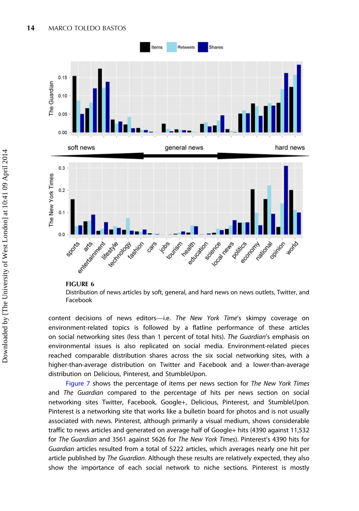<span id="page-14-0"></span>



Distribution of news articles by soft, general, and hard news on news outlets, Twitter, and Facebook

content decisions of news editors—i.e. The New York Time's skimpy coverage on environment-related topics is followed by a flatline performance of these articles on social networking sites (less than 1 percent of total hits). The Guardian's emphasis on environmental issues is also replicated on social media. Environment-related pieces reached comparable distribution shares across the six social networking sites, with a higher-than-average distribution on Twitter and Facebook and a lower-than-average distribution on Delicious, Pinterest, and StumbleUpon.

[Figure 7](#page-15-0) shows the percentage of items per news section for The New York Times and The Guardian compared to the percentage of hits per news section on social networking sites Twitter, Facebook, Google+, Delicious, Pinterest, and StumbleUpon. Pinterest is a networking site that works like a bulletin board for photos and is not usually associated with news. Pinterest, although primarily a visual medium, shows considerable traffic to news articles and generated on average half of Google+ hits (4390 against 11,532 for The Guardian and 3561 against 5626 for The New York Times). Pinterest's 4390 hits for Guardian articles resulted from a total of 5222 articles, which averages nearly one hit per article published by The Guardian. Although these results are relatively expected, they also show the importance of each social network to niche sections. Pinterest is mostly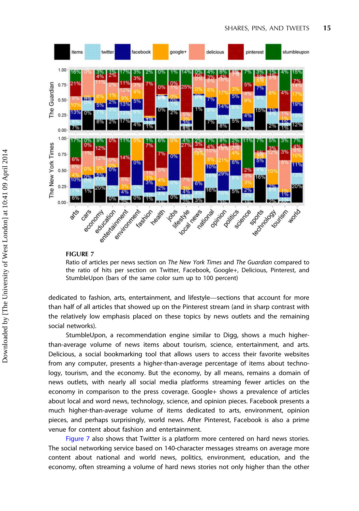<span id="page-15-0"></span>



Ratio of articles per news section on The New York Times and The Guardian compared to the ratio of hits per section on Twitter, Facebook, Google+, Delicious, Pinterest, and StumbleUpon (bars of the same color sum up to 100 percent)

dedicated to fashion, arts, entertainment, and lifestyle—sections that account for more than half of all articles that showed up on the Pinterest stream (and in sharp contrast with the relatively low emphasis placed on these topics by news outlets and the remaining social networks).

StumbleUpon, a recommendation engine similar to Digg, shows a much higherthan-average volume of news items about tourism, science, entertainment, and arts. Delicious, a social bookmarking tool that allows users to access their favorite websites from any computer, presents a higher-than-average percentage of items about technology, tourism, and the economy. But the economy, by all means, remains a domain of news outlets, with nearly all social media platforms streaming fewer articles on the economy in comparison to the press coverage. Google+ shows a prevalence of articles about local and word news, technology, science, and opinion pieces. Facebook presents a much higher-than-average volume of items dedicated to arts, environment, opinion pieces, and perhaps surprisingly, world news. After Pinterest, Facebook is also a prime venue for content about fashion and entertainment.

Figure 7 also shows that Twitter is a platform more centered on hard news stories. The social networking service based on 140-character messages streams on average more content about national and world news, politics, environment, education, and the economy, often streaming a volume of hard news stories not only higher than the other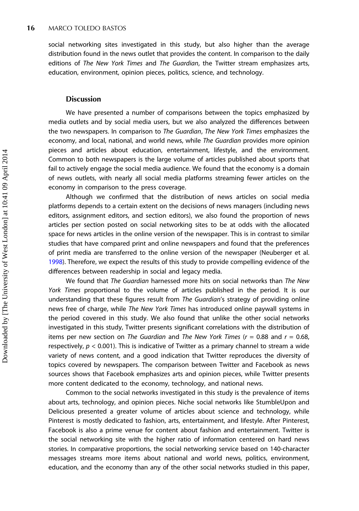social networking sites investigated in this study, but also higher than the average distribution found in the news outlet that provides the content. In comparison to the daily editions of The New York Times and The Guardian, the Twitter stream emphasizes arts, education, environment, opinion pieces, politics, science, and technology.

## **Discussion**

We have presented a number of comparisons between the topics emphasized by media outlets and by social media users, but we also analyzed the differences between the two newspapers. In comparison to The Guardian, The New York Times emphasizes the economy, and local, national, and world news, while The Guardian provides more opinion pieces and articles about education, entertainment, lifestyle, and the environment. Common to both newspapers is the large volume of articles published about sports that fail to actively engage the social media audience. We found that the economy is a domain of news outlets, with nearly all social media platforms streaming fewer articles on the economy in comparison to the press coverage.

Although we confirmed that the distribution of news articles on social media platforms depends to a certain extent on the decisions of news managers (including news editors, assignment editors, and section editors), we also found the proportion of news articles per section posted on social networking sites to be at odds with the allocated space for news articles in the online version of the newspaper. This is in contrast to similar studies that have compared print and online newspapers and found that the preferences of print media are transferred to the online version of the newspaper (Neuberger et al. [1998\)](#page-21-0). Therefore, we expect the results of this study to provide compelling evidence of the differences between readership in social and legacy media.

We found that The Guardian harnessed more hits on social networks than The New York Times proportional to the volume of articles published in the period. It is our understanding that these figures result from The Guardian's strategy of providing online news free of charge, while The New York Times has introduced online paywall systems in the period covered in this study. We also found that unlike the other social networks investigated in this study, Twitter presents significant correlations with the distribution of items per new section on The Guardian and The New York Times ( $r = 0.88$  and  $r = 0.68$ , respectively,  $p < 0.001$ ). This is indicative of Twitter as a primary channel to stream a wide variety of news content, and a good indication that Twitter reproduces the diversity of topics covered by newspapers. The comparison between Twitter and Facebook as news sources shows that Facebook emphasizes arts and opinion pieces, while Twitter presents more content dedicated to the economy, technology, and national news.

Common to the social networks investigated in this study is the prevalence of items about arts, technology, and opinion pieces. Niche social networks like StumbleUpon and Delicious presented a greater volume of articles about science and technology, while Pinterest is mostly dedicated to fashion, arts, entertainment, and lifestyle. After Pinterest, Facebook is also a prime venue for content about fashion and entertainment. Twitter is the social networking site with the higher ratio of information centered on hard news stories. In comparative proportions, the social networking service based on 140-character messages streams more items about national and world news, politics, environment, education, and the economy than any of the other social networks studied in this paper,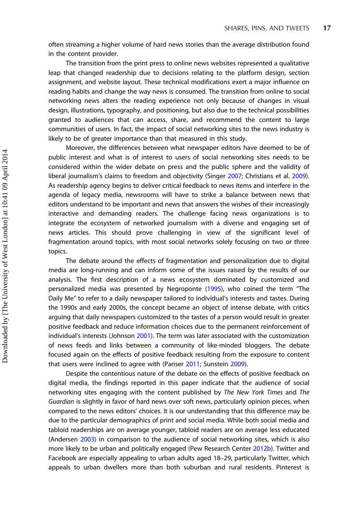often streaming a higher volume of hard news stories than the average distribution found in the content provider.

The transition from the print press to online news websites represented a qualitative leap that changed readership due to decisions relating to the platform design, section assignment, and website layout. These technical modifications exert a major influence on reading habits and change the way news is consumed. The transition from online to social networking news alters the reading experience not only because of changes in visual design, illustrations, typography, and positioning, but also due to the technical possibilities granted to audiences that can access, share, and recommend the content to large communities of users. In fact, the impact of social networking sites to the news industry is likely to be of greater importance than that measured in this study.

Moreover, the differences between what newspaper editors have deemed to be of public interest and what is of interest to users of social networking sites needs to be considered within the wider debate on press and the public sphere and the validity of liberal journalism's claims to freedom and objectivity (Singer [2007](#page-21-0); Christians et al. [2009\)](#page-19-0). As readership agency begins to deliver critical feedback to news items and interfere in the agenda of legacy media, newsrooms will have to strike a balance between news that editors understand to be important and news that answers the wishes of their increasingly interactive and demanding readers. The challenge facing news organizations is to integrate the ecosystem of networked journalism with a diverse and engaging set of news articles. This should prove challenging in view of the significant level of fragmentation around topics, with most social networks solely focusing on two or three topics.

The debate around the effects of fragmentation and personalization due to digital media are long-running and can inform some of the issues raised by the results of our analysis. The first description of a news ecosystem dominated by customized and personalized media was presented by Negroponte ([1995\)](#page-21-0), who coined the term "The Daily Me" to refer to a daily newspaper tailored to individual's interests and tastes. During the 1990s and early 2000s, the concept became an object of intense debate, with critics arguing that daily newspapers customized to the tastes of a person would result in greater positive feedback and reduce information choices due to the permanent reinforcement of individual's interests (Johnson [2001](#page-20-0)). The term was later associated with the customization of news feeds and links between a community of like-minded bloggers. The debate focused again on the effects of positive feedback resulting from the exposure to content that users were inclined to agree with (Pariser [2011;](#page-21-0) Sunstein [2009](#page-21-0)).

Despite the contentious nature of the debate on the effects of positive feedback on digital media, the findings reported in this paper indicate that the audience of social networking sites engaging with the content published by The New York Times and The Guardian is slightly in favor of hard news over soft news, particularly opinion pieces, when compared to the news editors' choices. It is our understanding that this difference may be due to the particular demographics of print and social media. While both social media and tabloid readerships are on average younger, tabloid readers are on average less educated (Andersen [2003\)](#page-19-0) in comparison to the audience of social networking sites, which is also more likely to be urban and politically engaged (Pew Research Center [2012b\)](#page-21-0). Twitter and Facebook are especially appealing to urban adults aged 18–29, particularly Twitter, which appeals to urban dwellers more than both suburban and rural residents. Pinterest is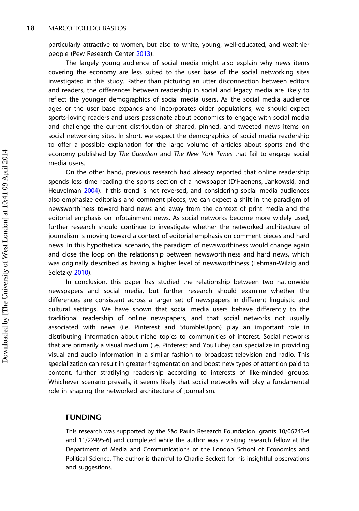particularly attractive to women, but also to white, young, well-educated, and wealthier people (Pew Research Center [2013\)](#page-21-0).

The largely young audience of social media might also explain why news items covering the economy are less suited to the user base of the social networking sites investigated in this study. Rather than picturing an utter disconnection between editors and readers, the differences between readership in social and legacy media are likely to reflect the younger demographics of social media users. As the social media audience ages or the user base expands and incorporates older populations, we should expect sports-loving readers and users passionate about economics to engage with social media and challenge the current distribution of shared, pinned, and tweeted news items on social networking sites. In short, we expect the demographics of social media readership to offer a possible explanation for the large volume of articles about sports and the economy published by The Guardian and The New York Times that fail to engage social media users.

On the other hand, previous research had already reported that online readership spends less time reading the sports section of a newspaper (D'Haenens, Jankowski, and Heuvelman [2004\)](#page-19-0). If this trend is not reversed, and considering social media audiences also emphasize editorials and comment pieces, we can expect a shift in the paradigm of newsworthiness toward hard news and away from the context of print media and the editorial emphasis on infotainment news. As social networks become more widely used, further research should continue to investigate whether the networked architecture of journalism is moving toward a context of editorial emphasis on comment pieces and hard news. In this hypothetical scenario, the paradigm of newsworthiness would change again and close the loop on the relationship between newsworthiness and hard news, which was originally described as having a higher level of newsworthiness (Lehman-Wilzig and Seletzky [2010](#page-21-0)).

In conclusion, this paper has studied the relationship between two nationwide newspapers and social media, but further research should examine whether the differences are consistent across a larger set of newspapers in different linguistic and cultural settings. We have shown that social media users behave differently to the traditional readership of online newspapers, and that social networks not usually associated with news (i.e. Pinterest and StumbleUpon) play an important role in distributing information about niche topics to communities of interest. Social networks that are primarily a visual medium (i.e. Pinterest and YouTube) can specialize in providing visual and audio information in a similar fashion to broadcast television and radio. This specialization can result in greater fragmentation and boost new types of attention paid to content, further stratifying readership according to interests of like-minded groups. Whichever scenario prevails, it seems likely that social networks will play a fundamental role in shaping the networked architecture of journalism.

## FUNDING

This research was supported by the São Paulo Research Foundation [grants 10/06243-4 and 11/22495-6] and completed while the author was a visiting research fellow at the Department of Media and Communications of the London School of Economics and Political Science. The author is thankful to Charlie Beckett for his insightful observations and suggestions.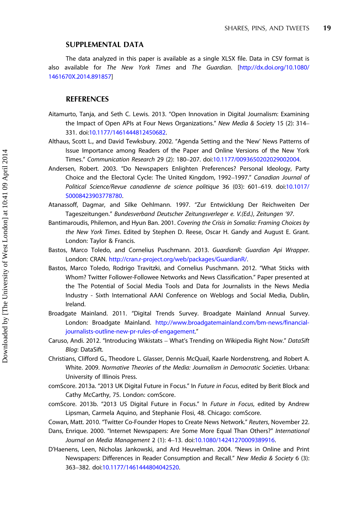## SUPPLEMENTAL DATA

<span id="page-19-0"></span>The data analyzed in this paper is available as a single XLSX file. Data in CSV format is also available for The New York Times and The Guardian. [\[http://dx.doi.org/10.1080/](http://dx.doi.org/10.1080/1461670X.2014.891857) [1461670X.2014.891857](http://dx.doi.org/10.1080/1461670X.2014.891857)]

## **REFERENCES**

- Aitamurto, Tanja, and Seth C. Lewis. 2013. "Open Innovation in Digital Journalism: Examining the Impact of Open APIs at Four News Organizations." New Media & Society 15 (2): 314– 331. doi[:10.1177/1461444812450682.](http://dx.doi.org/10.1177/1461444812450682)
- Althaus, Scott L., and David Tewksbury. 2002. "Agenda Setting and the 'New' News Patterns of Issue Importance among Readers of the Paper and Online Versions of the New York Times." Communication Research 29 (2): 180–207. doi:[10.1177/0093650202029002004.](http://dx.doi.org/10.1177/0093650202029002004)
- Andersen, Robert. 2003. "Do Newspapers Enlighten Preferences? Personal Ideology, Party Choice and the Electoral Cycle: The United Kingdom, 1992–1997." Canadian Journal of Political Science/Revue canadienne de science politique 36 (03): 601–619. doi[:10.1017/](http://dx.doi.org/10.1017/S0008423903778780) [S0008423903778780.](http://dx.doi.org/10.1017/S0008423903778780)
- Atanassoff, Dagmar, and Silke Oehlmann. 1997. "Zur Entwicklung Der Reichweiten Der Tageszeitungen." Bundesverband Deutscher Zeitungsverleger e. V.(Ed.), Zeitungen '97.
- Bantimaroudis, Philemon, and Hyun Ban. 2001. Covering the Crisis in Somalia: Framing Choices by the New York Times. Edited by Stephen D. Reese, Oscar H. Gandy and August E. Grant. London: Taylor & Francis.
- Bastos, Marco Toledo, and Cornelius Puschmann. 2013. GuardianR: Guardian Api Wrapper. London: CRAN. [http://cran.r-project.org/web/packages/GuardianR/.](http://cran.r-project.org/web/packages/GuardianR/)
- Bastos, Marco Toledo, Rodrigo Travitzki, and Cornelius Puschmann. 2012. "What Sticks with Whom? Twitter Follower-Followee Networks and News Classification." Paper presented at the The Potential of Social Media Tools and Data for Journalists in the News Media Industry - Sixth International AAAI Conference on Weblogs and Social Media, Dublin, Ireland.
- Broadgate Mainland. 2011. "Digital Trends Survey. Broadgate Mainland Annual Survey. London: Broadgate Mainland. [http://www.broadgatemainland.com/bm-news/financial](http://www.broadgatemainland.com/bm-news/financial-journalists-outline-new-pr-rules-of-engagement)[journalists-outline-new-pr-rules-of-engagement.](http://www.broadgatemainland.com/bm-news/financial-journalists-outline-new-pr-rules-of-engagement)"
- Caruso, Andi. 2012. "Introducing Wikistats What's Trending on Wikipedia Right Now." DataSift Blog: DataSift.
- Christians, Clifford G., Theodore L. Glasser, Dennis McQuail, Kaarle Nordenstreng, and Robert A. White. 2009. Normative Theories of the Media: Journalism in Democratic Societies. Urbana: University of Illinois Press.
- comScore. 2013a. "2013 UK Digital Future in Focus." In Future in Focus, edited by Berit Block and Cathy McCarthy, 75. London: comScore.
- comScore. 2013b. "2013 US Digital Future in Focus." In Future in Focus, edited by Andrew Lipsman, Carmela Aquino, and Stephanie Flosi, 48. Chicago: comScore.
- Cowan, Matt. 2010. "Twitter Co-Founder Hopes to Create News Network." Reuters, November 22.
- Dans, Enrique. 2000. "Internet Newspapers: Are Some More Equal Than Others?" International Journal on Media Management 2 (1): 4–13. doi:[10.1080/14241270009389916.](http://dx.doi.org/10.1080/14241270009389916)
- D'Haenens, Leen, Nicholas Jankowski, and Ard Heuvelman. 2004. "News in Online and Print Newspapers: Differences in Reader Consumption and Recall." New Media & Society 6 (3): 363–382. doi:[10.1177/1461444804042520.](http://dx.doi.org/10.1177/1461444804042520)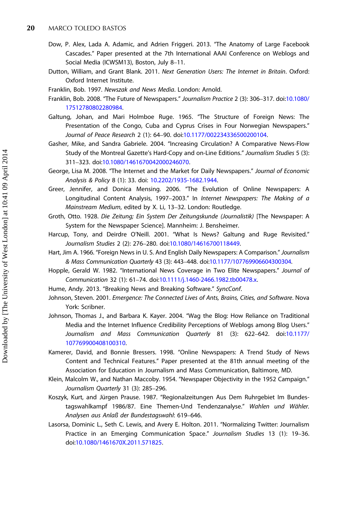- <span id="page-20-0"></span>Dow, P. Alex, Lada A. Adamic, and Adrien Friggeri. 2013. "The Anatomy of Large Facebook Cascades." Paper presented at the 7th International AAAI Conference on Weblogs and Social Media (ICWSM13), Boston, July 8–11.
- Dutton, William, and Grant Blank. 2011. Next Generation Users: The Internet in Britain. Oxford: Oxford Internet Institute.
- Franklin, Bob. 1997. Newszak and News Media. London: Arnold.
- Franklin, Bob. 2008. "The Future of Newspapers." Journalism Practice 2 (3): 306–317. doi[:10.1080/](http://dx.doi.org/10.1080/17512780802280984) [17512780802280984.](http://dx.doi.org/10.1080/17512780802280984)
- Galtung, Johan, and Mari Holmboe Ruge. 1965. "The Structure of Foreign News: The Presentation of the Congo, Cuba and Cyprus Crises in Four Norwegian Newspapers." Journal of Peace Research 2 (1): 64–90. doi[:10.1177/002234336500200104.](http://dx.doi.org/10.1177/002234336500200104)
- Gasher, Mike, and Sandra Gabriele. 2004. "Increasing Circulation? A Comparative News-Flow Study of the Montreal Gazette's Hard-Copy and on-Line Editions." Journalism Studies 5 (3): 311–323. doi:[10.1080/1461670042000246070.](http://dx.doi.org/10.1080/1461670042000246070)
- George, Lisa M. 2008. "The Internet and the Market for Daily Newspapers." Journal of Economic Analysis & Policy 8 (1): 33. doi: [10.2202/1935-1682.1944.](http://dx.doi.org/10.2202/1935-1682.1944)
- Greer, Jennifer, and Donica Mensing. 2006. "The Evolution of Online Newspapers: A Longitudinal Content Analysis, 1997–2003." In Internet Newspapers: The Making of a Mainstream Medium, edited by X. Li, 13–32. London: Routledge.
- Groth, Otto. 1928. Die Zeitung; Ein System Der Zeitungskunde (Journalistik) [The Newspaper: A System for the Newspaper Science]. Mannheim: J. Bensheimer.
- Harcup, Tony, and Deirdre O'Neill. 2001. "What Is News? Galtung and Ruge Revisited." Journalism Studies 2 (2): 276–280. doi[:10.1080/14616700118449.](http://dx.doi.org/10.1080/14616700118449)
- Hart, Jim A. 1966. "Foreign News in U. S. And English Daily Newspapers: A Comparison." Journalism & Mass Communication Quarterly 43 (3): 443–448. doi[:10.1177/107769906604300304.](http://dx.doi.org/10.1177/107769906604300304)
- Hopple, Gerald W. 1982. "International News Coverage in Two Elite Newspapers." Journal of Communication 32 (1): 61–74. doi:[10.1111/j.1460-2466.1982.tb00478.x.](http://dx.doi.org/10.1111/j.1460-2466.1982.tb00478.x)
- Hume, Andy. 2013. "Breaking News and Breaking Software." SyncConf.
- Johnson, Steven. 2001. Emergence: The Connected Lives of Ants, Brains, Cities, and Software. Nova York: Scribner.
- Johnson, Thomas J., and Barbara K. Kayer. 2004. "Wag the Blog: How Reliance on Traditional Media and the Internet Influence Credibility Perceptions of Weblogs among Blog Users." Journalism and Mass Communication Quarterly 81 (3): 622–642. doi:[10.1177/](http://dx.doi.org/10.1177/107769900408100310) [107769900408100310.](http://dx.doi.org/10.1177/107769900408100310)
- Kamerer, David, and Bonnie Bressers. 1998. "Online Newspapers: A Trend Study of News Content and Technical Features." Paper presented at the 81th annual meeting of the Association for Education in Journalism and Mass Communication, Baltimore, MD.
- Klein, Malcolm W., and Nathan Maccoby. 1954. "Newspaper Objectivity in the 1952 Campaign." Journalism Quarterly 31 (3): 285–296.
- Koszyk, Kurt, and Jürgen Prause. 1987. "Regionalzeitungen Aus Dem Ruhrgebiet Im Bundestagswahlkampf 1986/87. Eine Themen-Und Tendenzanalyse." Wahlen und Wähler. Analysen aus Anlaß der Bundestagswahl: 619–646.
- Lasorsa, Dominic L., Seth C. Lewis, and Avery E. Holton. 2011. "Normalizing Twitter: Journalism Practice in an Emerging Communication Space." Journalism Studies 13 (1): 19–36. doi:[10.1080/1461670X.2011.571825.](http://dx.doi.org/10.1080/1461670X.2011.571825)